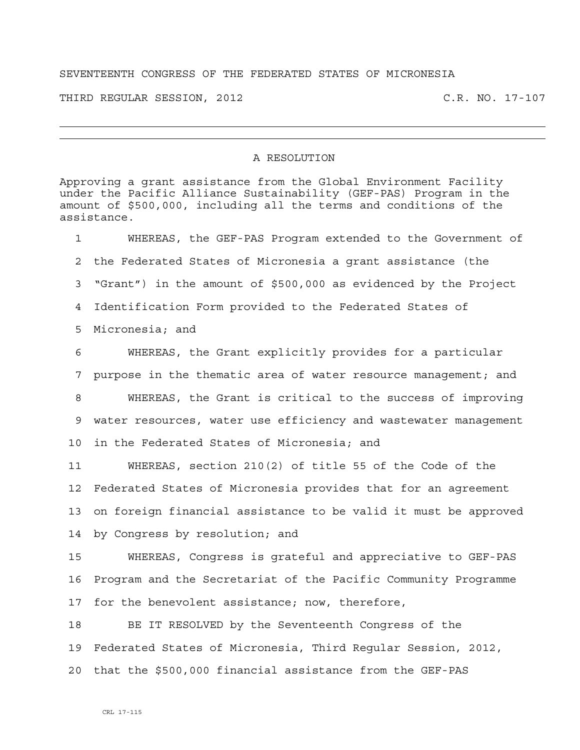## SEVENTEENTH CONGRESS OF THE FEDERATED STATES OF MICRONESIA

THIRD REGULAR SESSION, 2012 C.R. NO. 17-107

## A RESOLUTION

Approving a grant assistance from the Global Environment Facility under the Pacific Alliance Sustainability (GEF-PAS) Program in the amount of \$500,000, including all the terms and conditions of the assistance.

1 WHEREAS, the GEF-PAS Program extended to the Government of 2 the Federated States of Micronesia a grant assistance (the 3 "Grant") in the amount of \$500,000 as evidenced by the Project 4 Identification Form provided to the Federated States of 5 Micronesia; and 6 WHEREAS, the Grant explicitly provides for a particular 7 purpose in the thematic area of water resource management; and 8 WHEREAS, the Grant is critical to the success of improving 9 water resources, water use efficiency and wastewater management 10 in the Federated States of Micronesia; and

11 WHEREAS, section 210(2) of title 55 of the Code of the 12 Federated States of Micronesia provides that for an agreement 13 on foreign financial assistance to be valid it must be approved 14 by Congress by resolution; and

15 WHEREAS, Congress is grateful and appreciative to GEF-PAS 16 Program and the Secretariat of the Pacific Community Programme 17 for the benevolent assistance; now, therefore,

18 BE IT RESOLVED by the Seventeenth Congress of the 19 Federated States of Micronesia, Third Regular Session, 2012, 20 that the \$500,000 financial assistance from the GEF-PAS